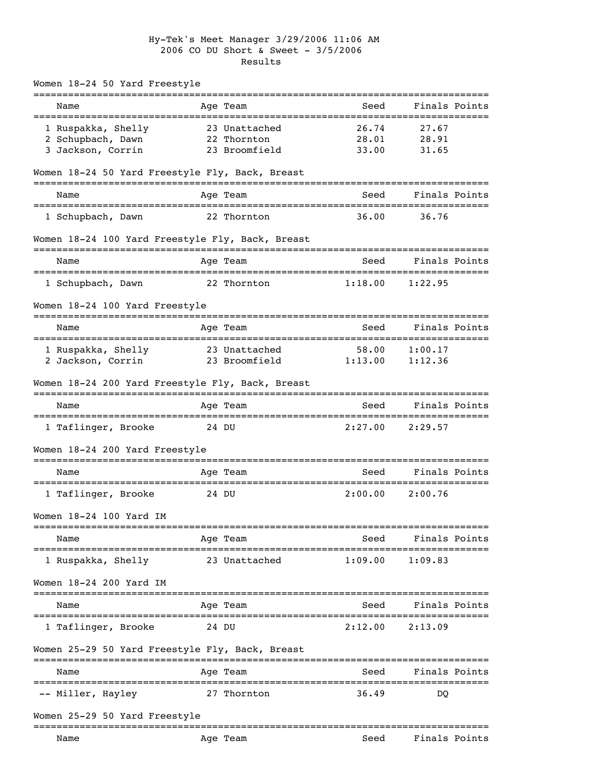## Hy-Tek's Meet Manager 3/29/2006 11:06 AM 2006 CO DU Short & Sweet - 3/5/2006 Results

| Women 18-24 50 Yard Freestyle                    |                          |         |                                         |
|--------------------------------------------------|--------------------------|---------|-----------------------------------------|
| Name                                             | Age Team                 | Seed    | Finals Points<br>===============        |
| 1 Ruspakka, Shelly                               | 23 Unattached            | 26.74   | 27.67                                   |
| 2 Schupbach, Dawn                                | 22 Thornton              | 28.01   | 28.91                                   |
| 3 Jackson, Corrin                                | 23 Broomfield            | 33.00   | 31.65                                   |
| Women 18-24 50 Yard Freestyle Fly, Back, Breast  |                          |         |                                         |
| Name                                             | Age Team                 | Seed    | Finals Points                           |
| 1 Schupbach, Dawn                                | 22 Thornton              | 36.00   | 36.76                                   |
| Women 18-24 100 Yard Freestyle Fly, Back, Breast |                          |         |                                         |
| Name                                             | Age Team                 | Seed    | Finals Points                           |
| 1 Schupbach, Dawn                                | 22 Thornton              | 1:18.00 | ============================<br>1:22.95 |
| Women 18-24 100 Yard Freestyle                   |                          |         |                                         |
| Name                                             | Age Team                 | Seed    | Finals Points                           |
| 1 Ruspakka, Shelly                               | 23 Unattached            | 58.00   | 1:00.17                                 |
| 2 Jackson, Corrin                                | 23 Broomfield            | 1:13.00 | 1:12.36                                 |
| Women 18-24 200 Yard Freestyle Fly, Back, Breast |                          |         |                                         |
| Name                                             | Age Team                 | Seed    | Finals Points                           |
| 1 Taflinger, Brooke                              | 24 DU                    | 2:27.00 | 2:29.57                                 |
| Women 18-24 200 Yard Freestyle                   |                          |         |                                         |
| Name                                             | ============<br>Age Team | Seed    | Finals Points                           |
| 1 Taflinger, Brooke                              | 24 DU                    | 2:00.00 | 2:00.76                                 |
| Women 18-24 100 Yard IM                          |                          |         |                                         |
| Name                                             | =========<br>Age Team    | Seed    | Finals Points                           |
| 1 Ruspakka, Shelly                               | 23 Unattached            | 1:09.00 | 1:09.83                                 |
| Women 18-24 200 Yard IM                          |                          |         |                                         |
| Name                                             | Age Team                 | Seed    | Finals Points                           |
| 1 Taflinger, Brooke                              | 24 DU                    | 2:12.00 | 2:13.09                                 |
| Women 25-29 50 Yard Freestyle Fly, Back, Breast  |                          |         |                                         |
| Name                                             | Age Team                 | Seed    | Finals Points                           |
| -- Miller, Hayley                                | 27 Thornton              | 36.49   | DO                                      |
| Women 25-29 50 Yard Freestyle                    |                          |         |                                         |
| Name                                             | Age Team                 | Seed    | Finals Points                           |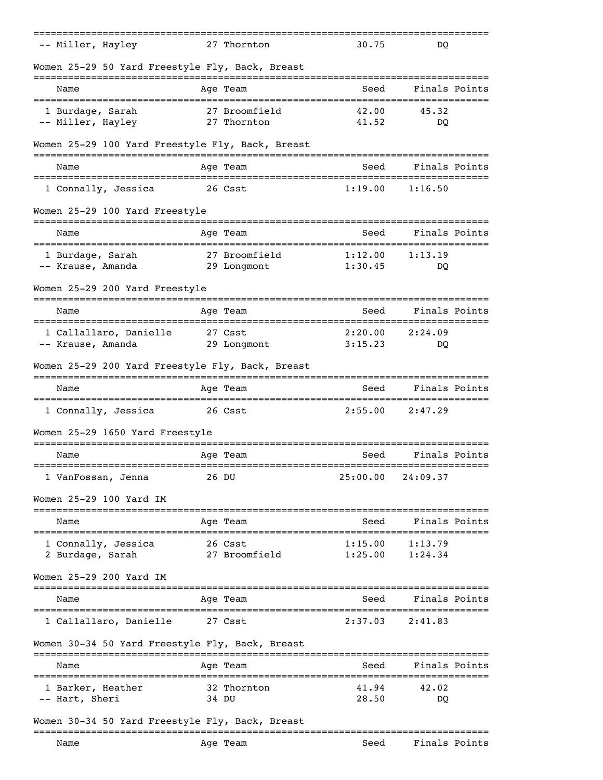| -- Miller, Hayley                                | 27 Thornton              | 30.75    | DO                                             |  |
|--------------------------------------------------|--------------------------|----------|------------------------------------------------|--|
| Women 25-29 50 Yard Freestyle Fly, Back, Breast  |                          |          |                                                |  |
| Name<br>__________________________               | Age Team<br>============ | Seed     | Finals Points<br>:============================ |  |
| 1 Burdage, Sarah                                 | 27 Broomfield            | 42.00    | 45.32                                          |  |
| -- Miller, Hayley                                | 27 Thornton              | 41.52    | DO                                             |  |
| Women 25-29 100 Yard Freestyle Fly, Back, Breast |                          |          |                                                |  |
| Name                                             | Age Team                 | Seed     | Finals Points                                  |  |
| 1 Connally, Jessica                              | 26 Csst                  | 1:19.00  | 1:16.50                                        |  |
| Women 25-29 100 Yard Freestyle                   |                          |          |                                                |  |
| Name                                             | Age Team                 | Seed     | Finals Points                                  |  |
| 1 Burdage, Sarah                                 | 27 Broomfield            | 1:12.00  | 1:13.19                                        |  |
| -- Krause, Amanda                                | 29 Longmont              | 1:30.45  | DO                                             |  |
| Women 25-29 200 Yard Freestyle                   |                          |          |                                                |  |
| Name                                             | Age Team                 | Seed     | Finals Points                                  |  |
| 1 Callallaro, Danielle                           | 27 Csst                  | 2:20.00  | 2:24.09                                        |  |
| -- Krause, Amanda                                | 29 Longmont              | 3:15.23  | DO                                             |  |
| Women 25-29 200 Yard Freestyle Fly, Back, Breast |                          |          |                                                |  |
| Name                                             | Age Team                 | Seed     | Finals Points                                  |  |
| 1 Connally, Jessica                              | 26 Csst                  | 2:55.00  | 2:47.29                                        |  |
| Women 25-29 1650 Yard Freestyle                  |                          |          |                                                |  |
| Name                                             | Age Team                 | Seed     | Finals Points                                  |  |
| 1 VanFossan, Jenna                               | ------------<br>26 DU    | 25:00.00 | _________________________<br>24:09.37          |  |
| Women 25-29 100 Yard IM                          |                          |          |                                                |  |
| Name                                             | Age Team                 | Seed     | Finals Points                                  |  |
| -------------------------<br>1 Connally, Jessica | ===========<br>26 Csst   | 1:15.00  | ----------------------------<br>1:13.79        |  |
| 2 Burdage, Sarah                                 | 27 Broomfield            | 1:25.00  | 1:24.34                                        |  |
| Women 25-29 200 Yard IM                          |                          |          |                                                |  |
| Name                                             | Age Team                 | Seed     | Finals Points                                  |  |
| 1 Callallaro, Danielle                           | 27 Csst                  | 2:37.03  | 2:41.83                                        |  |
| Women 30-34 50 Yard Freestyle Fly, Back, Breast  |                          |          |                                                |  |
| Name                                             | Age Team                 | Seed     | Finals Points                                  |  |
| 1 Barker, Heather                                | 32 Thornton              | 41.94    | 42.02                                          |  |
| -- Hart, Sheri                                   | 34 DU                    | 28.50    | DO                                             |  |
| Women 30-34 50 Yard Freestyle Fly, Back, Breast  |                          |          |                                                |  |
| Name                                             | Age Team                 | Seed     | Finals Points                                  |  |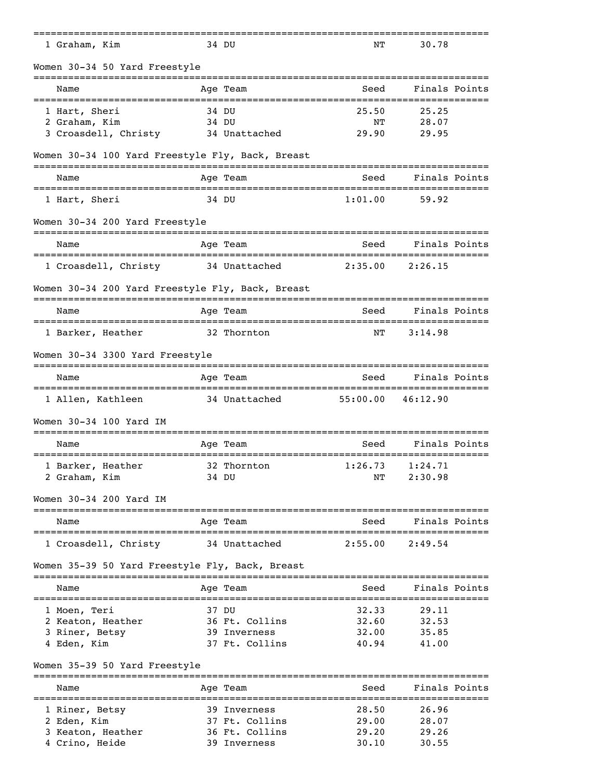| 1 Graham, Kim                                            | 34 DU                       | NΤ                                            | 30.78                                        |
|----------------------------------------------------------|-----------------------------|-----------------------------------------------|----------------------------------------------|
| Women 30-34 50 Yard Freestyle                            |                             |                                               |                                              |
| Name                                                     | Age Team                    | Seed                                          | Finals Points                                |
| 1 Hart, Sheri                                            | 34 DU                       | 25.50                                         | 25.25                                        |
| 2 Graham, Kim                                            | 34 DU                       | ΝT                                            | 28.07                                        |
| 3 Croasdell, Christy                                     | 34 Unattached               | 29.90                                         | 29.95                                        |
| Women 30-34 100 Yard Freestyle Fly, Back, Breast         |                             |                                               |                                              |
| Name                                                     | Age Team                    | Seed                                          | Finals Points                                |
| 1 Hart, Sheri                                            | 34 DU                       | 1:01.00                                       | 59.92                                        |
| Women 30-34 200 Yard Freestyle                           |                             |                                               |                                              |
| Name                                                     | Age Team                    | Seed                                          | Finals Points                                |
| 1 Croasdell, Christy                                     | 34 Unattached               | 2:35.00                                       | 2:26.15                                      |
| Women 30-34 200 Yard Freestyle Fly, Back, Breast         |                             |                                               |                                              |
| Name                                                     | Age Team                    | Seed                                          | Finals Points                                |
| 1 Barker, Heather                                        | 32 Thornton                 | NΤ                                            | 3:14.98                                      |
| Women 30-34 3300 Yard Freestyle                          |                             |                                               |                                              |
| Name                                                     | Age Team                    | Seed                                          | Finals Points                                |
| ===================================<br>1 Allen, Kathleen | 34 Unattached               | =================================<br>55:00.00 | 46:12.90                                     |
| Women 30-34 100 Yard IM                                  |                             |                                               |                                              |
| Name                                                     | Age Team<br>:========       | Seed                                          | Finals Points<br>=========================== |
| 1 Barker, Heather                                        | 32 Thornton                 | 1:26.73                                       | 1:24.71                                      |
| 2 Graham, Kim                                            | 34 DU                       | NΤ                                            | 2:30.98                                      |
| Women 30-34 200 Yard IM                                  |                             |                                               |                                              |
| Name<br>----------------                                 | Age Team<br>--------------- | Seed                                          | Finals Points<br>===============             |
| 1 Croasdell, Christy                                     | 34 Unattached               | 2:55.00                                       | 2:49.54                                      |
| Women 35-39 50 Yard Freestyle Fly, Back, Breast          |                             |                                               |                                              |
| =====================================<br>Name            | Age Team                    | ________________________________<br>Seed      | Finals Points                                |
| 1 Moen, Teri                                             | 37 DU                       | 32.33                                         | 29.11                                        |
| 2 Keaton, Heather                                        | 36 Ft. Collins              | 32.60                                         | 32.53                                        |
| 3 Riner, Betsy                                           | 39 Inverness                | 32.00                                         | 35.85                                        |
| 4 Eden, Kim                                              | 37 Ft. Collins              | 40.94                                         | 41.00                                        |
| Women 35-39 50 Yard Freestyle                            | ==========                  |                                               |                                              |
| Name                                                     | Age Team                    | Seed                                          | Finals Points                                |
| 1 Riner, Betsy                                           | 39 Inverness                | 28.50                                         | 26.96                                        |
| 2 Eden, Kim                                              | 37 Ft. Collins              | 29.00                                         | 28.07                                        |
| 3 Keaton, Heather                                        | 36 Ft. Collins              | 29.20                                         | 29.26                                        |

4 Crino, Heide 39 Inverness 30.10 30.55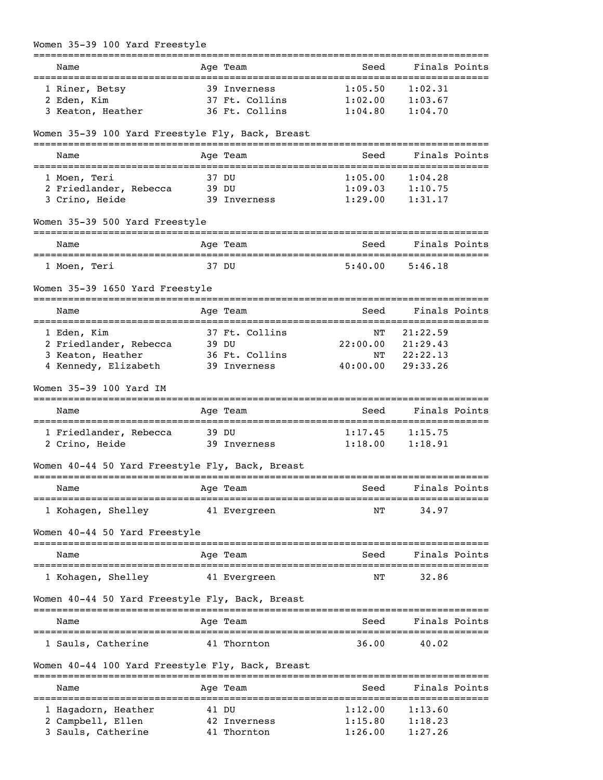| Women 35-39 100 Yard Freestyle                        |                                 |                     |                     |
|-------------------------------------------------------|---------------------------------|---------------------|---------------------|
| Name                                                  | Age Team                        | Seed                | Finals Points       |
| ===================================<br>1 Riner, Betsy | 39 Inverness                    | 1:05.50             | 1:02.31             |
| 2 Eden, Kim                                           | 37 Ft. Collins                  | $1:02.00$ $1:03.67$ |                     |
| 3 Keaton, Heather                                     | 36 Ft. Collins                  | 1:04.80             | 1:04.70             |
| Women 35-39 100 Yard Freestyle Fly, Back, Breast      |                                 |                     |                     |
| Name                                                  | Age Team                        | Seed                | Finals Points       |
| 1 Moen, Teri                                          | 37 DU                           | 1:05.00             | 1:04.28             |
| 2 Friedlander, Rebecca 39 DU                          |                                 |                     | $1:09.03$ $1:10.75$ |
| 3 Crino, Heide                                        | 39 Inverness                    | 1:29.00             | 1:31.17             |
| Women 35-39 500 Yard Freestyle                        |                                 |                     |                     |
| Name<br>==================================            | Age Team                        | Seed                | Finals Points       |
| 1 Moen, Teri                                          | 37 DU                           | 5:40.00             | 5:46.18             |
| Women 35-39 1650 Yard Freestyle                       |                                 |                     |                     |
| Name                                                  | Age Team                        | Seed                | Finals Points       |
| 1 Eden, Kim                                           | 37 Ft. Collins                  | NΤ                  | 21:22.59            |
| 2 Friedlander, Rebecca                                | 39 DU                           |                     | 22:00.00 21:29.43   |
| 3 Keaton, Heather                                     | 36 Ft. Collins                  | NT                  | 22:22.13            |
| 4 Kennedy, Elizabeth                                  | 39 Inverness                    | 40:00.00            | 29:33.26            |
| Women 35-39 100 Yard IM                               |                                 |                     |                     |
| Name                                                  | Age Team                        | Seed                | Finals Points       |
| 1 Friedlander, Rebecca                                | 39 DU                           | 1:17.45             | 1:15.75             |
| 2 Crino, Heide                                        | 39 Inverness                    | 1:18.00             | 1:18.91             |
| Women 40-44 50 Yard Freestyle Fly, Back, Breast       | ====================            |                     |                     |
| Name                                                  | Age Team                        | Seed                | Finals Points       |
| ==============================<br>1 Kohagen, Shelley  | 41 Evergreen                    | ============<br>NΤ  | 34.97               |
| Women 40-44 50 Yard Freestyle                         |                                 |                     |                     |
| Name                                                  | ------<br>Age Team              | Seed                | Finals Points       |
| 1 Kohagen, Shelley                                    | ---------------<br>41 Evergreen | NΤ                  | 32.86               |
| Women 40-44 50 Yard Freestyle Fly, Back, Breast       |                                 |                     |                     |
| Name                                                  | Age Team                        | Seed                | Finals Points       |
| 1 Sauls, Catherine                                    | 41 Thornton                     | 36.00               | 40.02               |
| Women 40-44 100 Yard Freestyle Fly, Back, Breast      |                                 |                     |                     |
| Name                                                  | Age Team                        | Seed                | Finals Points       |
| 1 Hagadorn, Heather                                   | 41 DU                           | 1:12.00             | 1:13.60             |
| 2 Campbell, Ellen                                     | 42 Inverness                    | 1:15.80             | 1:18.23             |
| 3 Sauls, Catherine                                    | 41 Thornton                     | 1:26.00             | 1:27.26             |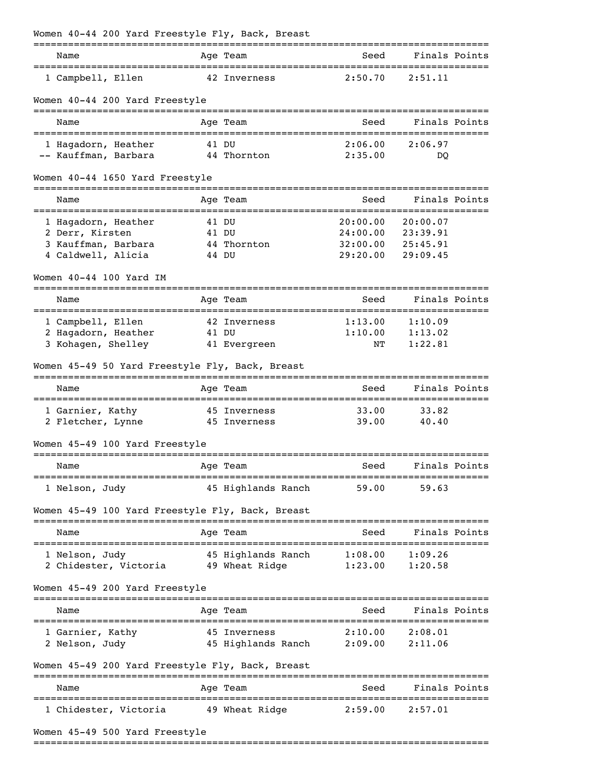| Name                                                                   |       | Age Team                                                           | Seed                  | Finals Points      |  |
|------------------------------------------------------------------------|-------|--------------------------------------------------------------------|-----------------------|--------------------|--|
| 1 Campbell, Ellen                                                      |       | 42 Inverness                                                       | 2:50.70               | 2:51.11            |  |
| Women 40-44 200 Yard Freestyle                                         |       |                                                                    |                       |                    |  |
| Name                                                                   |       | Age Team                                                           | Seed                  | Finals Points      |  |
| 1 Hagadorn, Heather                                                    |       | 41 DU                                                              | 2:06.00               | 2:06.97            |  |
| -- Kauffman, Barbara                                                   |       | 44 Thornton                                                        | 2:35.00               | DO                 |  |
| Women 40-44 1650 Yard Freestyle                                        |       |                                                                    |                       |                    |  |
| Name                                                                   |       | Age Team                                                           | Seed                  | Finals Points      |  |
| 1 Hagadorn, Heather                                                    | 41 DU |                                                                    | 20:00.00              | 20:00.07           |  |
| 2 Derr, Kirsten                                                        | 41 DU |                                                                    | 24:00.00              | 23:39.91           |  |
| 3 Kauffman, Barbara                                                    |       | 44 Thornton                                                        | 32:00.00              | 25:45.91           |  |
| 4 Caldwell, Alicia                                                     |       | 44 DU                                                              | 29:20.00              | 29:09.45           |  |
| Women $40-44$ 100 Yard IM                                              |       |                                                                    | ===================== |                    |  |
| Name                                                                   |       | Age Team                                                           | Seed                  | Finals Points      |  |
| 1 Campbell, Ellen                                                      |       | 42 Inverness                                                       | 1:13.00               | 1:10.09            |  |
| 2 Hagadorn, Heather                                                    |       | 41 DU                                                              | 1:10.00               | 1:13.02            |  |
| 3 Kohagen, Shelley                                                     |       | 41 Evergreen                                                       | NΤ                    | 1:22.81            |  |
|                                                                        |       |                                                                    |                       |                    |  |
| Women 45-49 50 Yard Freestyle Fly, Back, Breast                        |       |                                                                    |                       |                    |  |
| Name                                                                   |       | Age Team                                                           | Seed                  | Finals Points      |  |
| 1 Garnier, Kathy 5 45 Inverness                                        |       |                                                                    | 33.00                 | 33.82              |  |
| 2 Fletcher, Lynne 45 Inverness                                         |       |                                                                    | 39.00                 | 40.40              |  |
| Women 45-49 100 Yard Freestyle                                         |       |                                                                    |                       |                    |  |
| Name                                                                   |       | Age Team                                                           |                       | Seed Finals Points |  |
| 1 Nelson, Judy                                                         |       | 45 Highlands Ranch                                                 | 59.00                 | 59.63              |  |
| Women 45-49 100 Yard Freestyle Fly, Back, Breast                       |       |                                                                    |                       |                    |  |
| Name                                                                   |       | Age Team                                                           |                       | Seed Finals Points |  |
|                                                                        |       |                                                                    |                       |                    |  |
| 1 Nelson, Judy<br>2 Chidester, Victoria 49 Wheat Ridge 1:23.00 1:20.58 |       | 45 Highlands Ranch 1:08.00 1:09.26                                 |                       |                    |  |
| Women 45-49 200 Yard Freestyle                                         |       |                                                                    |                       |                    |  |
| Name                                                                   |       | Age Team                                                           | Seed                  | Finals Points      |  |
|                                                                        |       |                                                                    |                       |                    |  |
| 1 Garnier, Kathy<br>2 Nelson, Judy                                     |       | 45 Inverness 2:10.00 2:08.01<br>45 Highlands Ranch 2:09.00 2:11.06 |                       |                    |  |
| Women 45-49 200 Yard Freestyle Fly, Back, Breast                       |       |                                                                    |                       |                    |  |
| Name                                                                   |       | Age Team                                                           |                       | Seed Finals Points |  |

===============================================================================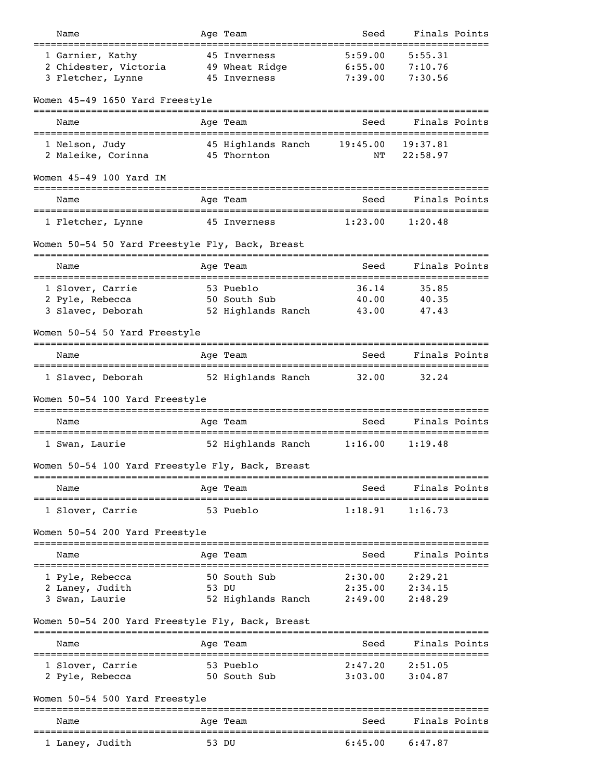| Name                                                           |            | Age Team                                       | Seed                          | Finals Points                 |               |
|----------------------------------------------------------------|------------|------------------------------------------------|-------------------------------|-------------------------------|---------------|
| 1 Garnier, Kathy<br>2 Chidester, Victoria<br>3 Fletcher, Lynne |            | 45 Inverness<br>49 Wheat Ridge<br>45 Inverness | 5:59.00<br>6:55.00<br>7:39.00 | 5:55.31<br>7:10.76<br>7:30.56 |               |
| Women 45-49 1650 Yard Freestyle                                |            |                                                |                               |                               |               |
| Name                                                           |            | Age Team                                       | Seed                          |                               | Finals Points |
| 1 Nelson, Judy<br>2 Maleike, Corinna                           |            | 45 Highlands Ranch<br>45 Thornton              | 19:45.00<br>NΤ                | 19:37.81<br>22:58.97          |               |
| Women 45-49 100 Yard IM                                        |            |                                                |                               |                               |               |
| Name                                                           |            | Age Team                                       | Seed                          | Finals Points                 |               |
| 1 Fletcher, Lynne                                              |            | 45 Inverness                                   | 1:23.00                       | 1:20.48                       |               |
| Women 50-54 50 Yard Freestyle Fly, Back, Breast                |            |                                                |                               |                               |               |
| Name                                                           |            | Age Team                                       | Seed                          | =================             | Finals Points |
| 1 Slover, Carrie                                               | =========  | 53 Pueblo                                      | 36.14                         | 35.85                         |               |
| 2 Pyle, Rebecca                                                |            | 50 South Sub                                   | 40.00                         | 40.35                         |               |
| 3 Slavec, Deborah                                              |            | 52 Highlands Ranch                             | 43.00                         | 47.43                         |               |
| Women 50-54 50 Yard Freestyle                                  |            |                                                |                               |                               |               |
| Name                                                           |            | Age Team                                       | Seed                          | Finals Points                 |               |
| 1 Slavec, Deborah                                              |            | 52 Highlands Ranch                             | 32.00                         | 32.24                         |               |
| Women 50-54 100 Yard Freestyle                                 |            |                                                |                               |                               |               |
| Name                                                           |            | Age Team                                       | Seed                          | Finals Points                 |               |
| 1 Swan, Laurie                                                 |            | 52 Highlands Ranch                             | 1:16.00                       | 1:19.48                       |               |
| Women 50-54 100 Yard Freestyle Fly, Back, Breast               |            |                                                |                               |                               |               |
| Name                                                           |            | Age Team                                       | Seed                          | Finals Points                 |               |
| ==================================<br>1 Slover, Carrie         |            | <br>53 Pueblo                                  | 1:18.91                       | ----------<br>1:16.73         |               |
| Women 50-54 200 Yard Freestyle                                 |            |                                                |                               |                               |               |
| Name                                                           |            | Age Team                                       | Seed                          | Finals Points                 |               |
| 1 Pyle, Rebecca                                                |            | 50 South Sub                                   | 2:30.00                       | 2:29.21                       |               |
| 2 Laney, Judith                                                |            | 53 DU                                          | 2:35.00                       | 2:34.15                       |               |
| 3 Swan, Laurie                                                 |            | 52 Highlands Ranch                             | 2:49.00                       | 2:48.29                       |               |
| Women 50-54 200 Yard Freestyle Fly, Back, Breast               |            |                                                |                               |                               |               |
| Name                                                           |            | Age Team                                       | Seed                          | Finals Points                 |               |
| 1 Slover, Carrie<br>2 Pyle, Rebecca                            |            | 53 Pueblo<br>50 South Sub                      | 2:47.20<br>3:03.00            | 2:51.05<br>3:04.87            |               |
|                                                                |            |                                                |                               |                               |               |
| Women 50-54 500 Yard Freestyle                                 |            |                                                |                               |                               |               |
| Name                                                           | ---------- | Age Team                                       | Seed                          | Finals Points                 |               |
| 1 Laney, Judith                                                |            | 53 DU                                          | 6:45.00                       | 6:47.87                       |               |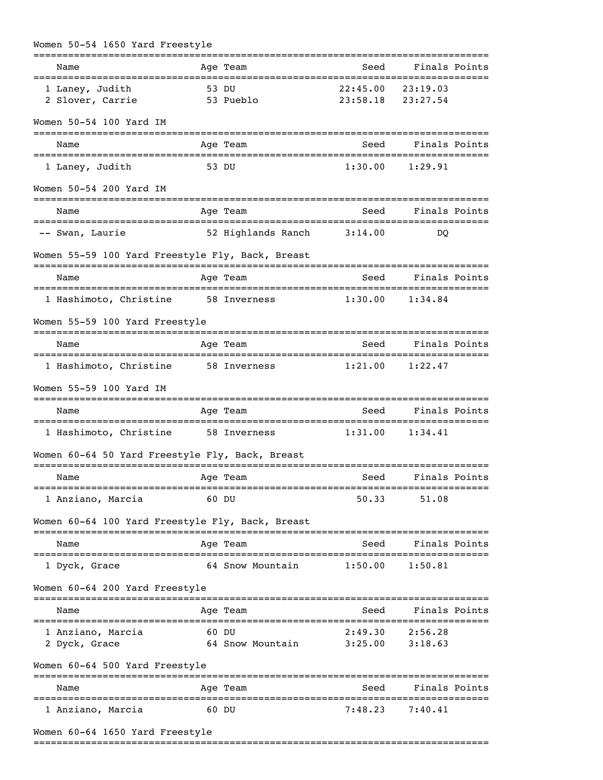| Women 50-54 1650 Yard Freestyle                     |                           |                                            |                                |
|-----------------------------------------------------|---------------------------|--------------------------------------------|--------------------------------|
| Name                                                | Age Team                  | Seed                                       | Finals Points                  |
| 1 Laney, Judith<br>2 Slover, Carrie                 | 53 DU<br>53 Pueblo        | $22:45.00$ $23:19.03$<br>23:58.18 23:27.54 |                                |
| Women 50-54 100 Yard IM                             |                           |                                            |                                |
| Name                                                | Age Team                  | Seed                                       | Finals Points                  |
| 1 Laney, Judith                                     | 53 DU                     |                                            | $1:30.00$ $1:29.91$            |
| Women 50-54 200 Yard IM                             |                           |                                            |                                |
| Name                                                | Age Team                  | Seed                                       | Finals Points                  |
| -- Swan, Laurie                                     | 52 Highlands Ranch        | 3:14.00                                    | DO                             |
| Women 55-59 100 Yard Freestyle Fly, Back, Breast    |                           |                                            |                                |
| Name                                                | Age Team                  | Seed                                       | Finals Points                  |
| 1 Hashimoto, Christine 58 Inverness 1:30.00         |                           |                                            | 1:34.84                        |
| Women 55-59 100 Yard Freestyle                      |                           |                                            |                                |
| Name                                                | Age Team                  |                                            | Seed Finals Points             |
| 1 Hashimoto, Christine 58 Inverness 1:21.00 1:22.47 |                           |                                            |                                |
| Women 55-59 100 Yard IM                             |                           |                                            |                                |
| Name                                                | Age Team                  | Seed                                       | Finals Points                  |
| 1 Hashimoto, Christine 58 Inverness 1:31.00 1:34.41 |                           |                                            |                                |
| Women 60-64 50 Yard Freestyle Fly, Back, Breast     |                           |                                            |                                |
| Name                                                | Age Team                  |                                            | Seed Finals Points             |
| 1 Anziano, Marcia                                   | 60 DU                     | 50.33                                      | 51.08                          |
| Women 60-64 100 Yard Freestyle Fly, Back, Breast    |                           |                                            |                                |
| Name                                                | Age Team                  | Seed                                       | Finals Points                  |
| 1 Dyck, Grace                                       | 64 Snow Mountain 1:50.00  |                                            | 1:50.81                        |
| Women 60-64 200 Yard Freestyle                      |                           |                                            |                                |
| Name                                                | Age Team                  | Seed                                       | Finals Points                  |
| 1 Anziano, Marcia<br>2 Dyck, Grace                  | 60 DU<br>64 Snow Mountain | 2:49.30                                    | 2:56.28<br>$3:25.00$ $3:18.63$ |
| Women 60-64 500 Yard Freestyle                      |                           |                                            |                                |
| Name                                                | Age Team                  |                                            | Seed Finals Points             |
| 1 Anziano, Marcia                                   | 60 DU                     |                                            | $7:48.23$ $7:40.41$            |
| Women 60-64 1650 Yard Freestyle                     |                           |                                            |                                |

===============================================================================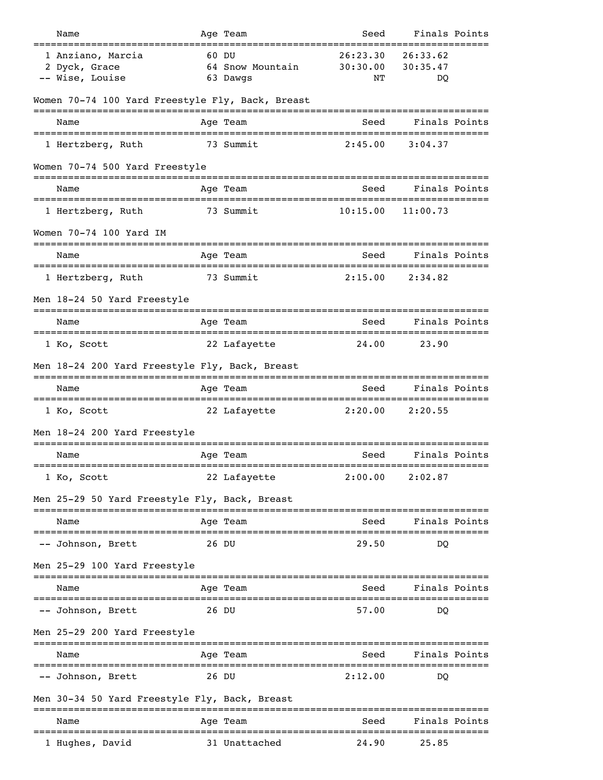| Name                                                   | Age Team                              | Seed                                       | Finals Points              |               |
|--------------------------------------------------------|---------------------------------------|--------------------------------------------|----------------------------|---------------|
| 1 Anziano, Marcia<br>2 Dyck, Grace<br>-- Wise, Louise  | 60 DU<br>64 Snow Mountain<br>63 Dawgs | 26:23.30<br>30:30.00<br>NΤ                 | 26:33.62<br>30:35.47<br>DQ |               |
| Women 70-74 100 Yard Freestyle Fly, Back, Breast       |                                       |                                            |                            |               |
| Name                                                   | Age Team                              | Seed                                       |                            | Finals Points |
| 1 Hertzberg, Ruth                                      | 73 Summit                             | 2:45.00                                    | 3:04.37                    |               |
| Women 70-74 500 Yard Freestyle                         |                                       |                                            |                            |               |
| Name                                                   | Age Team                              | Seed                                       | Finals Points              |               |
| 1 Hertzberg, Ruth                                      | 73 Summit                             | 10:15.00                                   | 11:00.73                   |               |
| Women 70-74 100 Yard IM                                |                                       |                                            |                            |               |
| Name                                                   | Age Team                              | ======================<br>Seed             | ------------------         | Finals Points |
| ===================<br>1 Hertzberg, Ruth               | 73 Summit                             | :==============================<br>2:15.00 | 2:34.82                    |               |
| Men 18-24 50 Yard Freestyle                            |                                       |                                            |                            |               |
| Name                                                   | Age Team                              | Seed                                       |                            | Finals Points |
| 1 Ko, Scott                                            | 22 Lafayette                          | 24.00                                      | 23.90                      |               |
| Men 18-24 200 Yard Freestyle Fly, Back, Breast         |                                       |                                            |                            |               |
| Name                                                   | Age Team                              | Seed                                       | Finals Points              |               |
| 1 Ko, Scott                                            | 22 Lafayette                          | 2:20.00                                    | 2:20.55                    |               |
| Men 18-24 200 Yard Freestyle                           |                                       |                                            |                            |               |
| Name                                                   | Age Team                              | Seed                                       |                            | Finals Points |
| 1 Ko, Scott                                            | 22 Lafayette                          | 2:00.00                                    | 2:02.87                    |               |
| Men 25-29 50 Yard Freestyle Fly, Back, Breast          |                                       |                                            |                            |               |
| Name                                                   | Age Team                              | Seed                                       |                            | Finals Points |
| -- Johnson, Brett                                      | 26 DU                                 | 29.50                                      | DO                         |               |
| Men 25-29 100 Yard Freestyle                           |                                       |                                            |                            |               |
| Name                                                   | Age Team                              | Seed                                       |                            | Finals Points |
| -- Johnson, Brett                                      | 26 DU                                 | 57.00                                      | DO                         |               |
| Men 25-29 200 Yard Freestyle                           |                                       |                                            |                            |               |
| Name                                                   | Age Team                              | Seed                                       | Finals Points              |               |
| =================================<br>-- Johnson, Brett | :======================<br>26 DU      | 2:12.00                                    | =================<br>DO    |               |
| Men 30-34 50 Yard Freestyle Fly, Back, Breast          |                                       |                                            |                            |               |
| ======================================<br>Name         | =============<br>Age Team             | Seed                                       |                            | Finals Points |
| ---------------------<br>1 Hughes, David               | 31 Unattached                         | 24.90                                      | 25.85                      |               |
|                                                        |                                       |                                            |                            |               |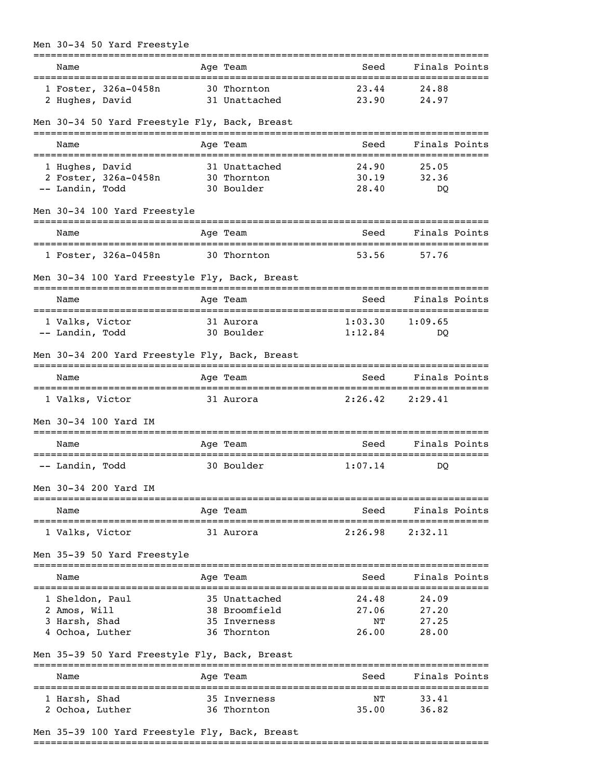| Men 30-34 50 Yard Freestyle                                                        |              |                              |                   |                        |  |
|------------------------------------------------------------------------------------|--------------|------------------------------|-------------------|------------------------|--|
| Name                                                                               |              | Age Team                     | =========<br>Seed | Finals Points          |  |
| 1 Foster, 326a-0458n<br>2 Hughes, David                                            |              | 30 Thornton<br>31 Unattached | 23.44<br>23.90    | 24.88<br>24.97         |  |
| Men 30-34 50 Yard Freestyle Fly, Back, Breast                                      |              |                              |                   |                        |  |
| Name                                                                               |              | Age Team                     | Seed              | Finals Points          |  |
| 1 Hughes, David                                                                    |              | 31 Unattached                | 24.90             | 25.05                  |  |
| 2 Foster, 326a-0458n                                                               |              | 30 Thornton                  | 30.19             | 32.36                  |  |
| -- Landin, Todd                                                                    |              | 30 Boulder                   | 28.40             | DO                     |  |
| Men 30-34 100 Yard Freestyle                                                       |              |                              |                   |                        |  |
| Name                                                                               |              | Age Team                     | Seed              | Finals Points          |  |
| 1 Foster, 326a-0458n                                                               |              | 30 Thornton                  | 53.56             | 57.76                  |  |
| Men 30-34 100 Yard Freestyle Fly, Back, Breast                                     | ==========   |                              | ========          |                        |  |
| Name                                                                               |              | Age Team                     | Seed              | Finals Points          |  |
| 1 Valks, Victor                                                                    |              | 31 Aurora                    | 1:03.30           | 1:09.65                |  |
| -- Landin, Todd                                                                    |              | 30 Boulder                   | 1:12.84           | DO                     |  |
| Men 30-34 200 Yard Freestyle Fly, Back, Breast<br>________________________________ |              |                              |                   |                        |  |
| Name                                                                               |              | Age Team                     | Seed              | Finals Points          |  |
| 1 Valks, Victor                                                                    |              | 31 Aurora                    | 2:26.42           | 2:29.41                |  |
| Men 30-34 100 Yard IM                                                              |              |                              |                   |                        |  |
| Name<br>====================================                                       |              | Age Team                     | Seed              | Finals Points          |  |
| -- Landin, Todd                                                                    |              | 30 Boulder                   | 1:07.14           | DO                     |  |
| Men 30-34 200 Yard IM                                                              |              |                              |                   |                        |  |
| Name                                                                               |              | Age Team                     | Seed              | Finals Points          |  |
| 1 Valks, Victor                                                                    |              | 31 Aurora                    | 2:26.98           | 2:32.11                |  |
| Men 35-39 50 Yard Freestyle                                                        |              | -------                      |                   |                        |  |
| Name                                                                               | ------------ | Age Team                     | Seed              | Finals Points          |  |
| 1 Sheldon, Paul                                                                    |              | 35 Unattached                | 24.48             | :============<br>24.09 |  |
| 2 Amos, Will                                                                       |              | 38 Broomfield                | 27.06             | 27.20                  |  |
| 3 Harsh, Shad                                                                      |              | 35 Inverness                 | ΝT                | 27.25                  |  |
| 4 Ochoa, Luther                                                                    |              | 36 Thornton                  | 26.00             | 28.00                  |  |
| Men 35-39 50 Yard Freestyle Fly, Back, Breast                                      |              |                              |                   |                        |  |
| Name                                                                               |              | Age Team                     | Seed              | Finals Points          |  |
| 1 Harsh, Shad                                                                      |              | 35 Inverness                 | NΤ                | 33.41                  |  |
| 2 Ochoa, Luther                                                                    |              | 36 Thornton                  | 35.00             | 36.82                  |  |

## Men 35-39 100 Yard Freestyle Fly, Back, Breast

===============================================================================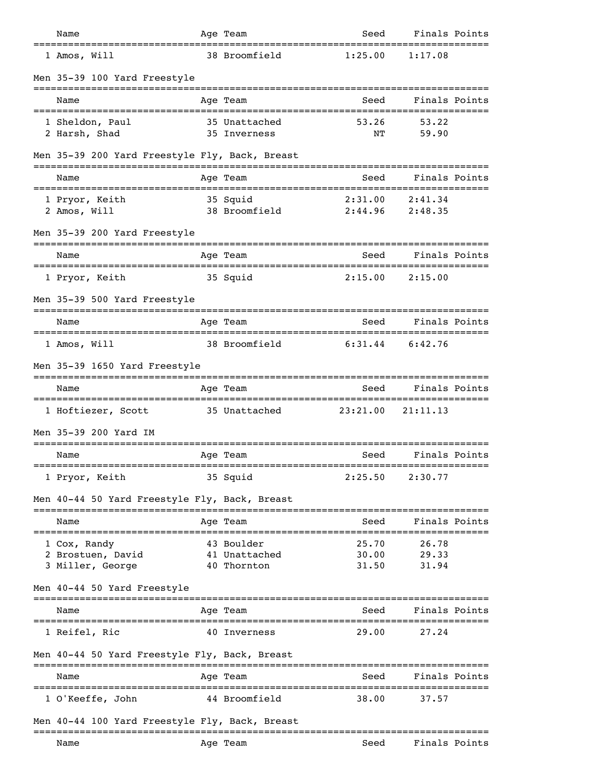| Name                                                  |            | Age Team                                   | Seed                    | Finals Points                    |  |
|-------------------------------------------------------|------------|--------------------------------------------|-------------------------|----------------------------------|--|
| 1 Amos, Will                                          |            | 38 Broomfield                              | 1:25.00                 | 1:17.08                          |  |
| Men 35-39 100 Yard Freestyle                          |            |                                            |                         |                                  |  |
| Name                                                  |            | Age Team                                   | Seed                    | Finals Points                    |  |
| 1 Sheldon, Paul<br>2 Harsh, Shad                      |            | 35 Unattached<br>35 Inverness              | 53.26<br>ΝT             | 53.22<br>59.90                   |  |
| Men 35-39 200 Yard Freestyle Fly, Back, Breast        |            |                                            |                         |                                  |  |
| Name                                                  |            | Age Team                                   | Seed                    | Finals Points                    |  |
| 1 Pryor, Keith<br>2 Amos, Will                        |            | 35 Squid<br>38 Broomfield                  | 2:31.00<br>2:44.96      | 2:41.34<br>2:48.35               |  |
| Men 35-39 200 Yard Freestyle                          |            |                                            |                         |                                  |  |
| Name                                                  |            | Age Team                                   | Seed                    | Finals Points                    |  |
| 1 Pryor, Keith                                        |            | 35 Squid                                   | 2:15.00                 | 2:15.00                          |  |
| Men 35-39 500 Yard Freestyle                          |            |                                            |                         |                                  |  |
| Name                                                  |            | Age Team                                   | Seed                    | Finals Points                    |  |
| 1 Amos, Will                                          |            | 38 Broomfield                              | 6:31.44                 | 6:42.76                          |  |
| Men 35-39 1650 Yard Freestyle                         |            |                                            |                         |                                  |  |
| Name                                                  |            | Age Team                                   | Seed                    | Finals Points                    |  |
| 1 Hoftiezer, Scott                                    |            | 35 Unattached                              | 23:21.00                | ====================<br>21:11.13 |  |
| Men 35-39 200 Yard IM                                 |            |                                            |                         |                                  |  |
| Name                                                  |            | Age Team                                   | Seed                    | Finals Points                    |  |
| 1 Pryor, Keith                                        |            | 35 Squid                                   | 2:25.50                 | 2:30.77                          |  |
| Men 40-44 50 Yard Freestyle Fly, Back, Breast         |            |                                            |                         |                                  |  |
| Name                                                  |            | Age Team                                   | Seed                    | Finals Points                    |  |
| 1 Cox, Randy<br>2 Brostuen, David<br>3 Miller, George | ---------- | 43 Boulder<br>41 Unattached<br>40 Thornton | 25.70<br>30.00<br>31.50 | .<br>26.78<br>29.33<br>31.94     |  |
| Men 40-44 50 Yard Freestyle                           |            |                                            |                         |                                  |  |
| Name                                                  |            | Age Team                                   | Seed                    | Finals Points                    |  |
| 1 Reifel, Ric                                         |            | 40 Inverness                               | 29.00                   | 27.24                            |  |
| Men 40-44 50 Yard Freestyle Fly, Back, Breast         |            |                                            |                         |                                  |  |
| Name                                                  |            | ======<br>Age Team                         | Seed                    | Finals Points                    |  |
| 1 O'Keeffe, John                                      |            | 44 Broomfield                              | 38.00                   | 37.57                            |  |
| Men 40-44 100 Yard Freestyle Fly, Back, Breast        |            |                                            |                         |                                  |  |
| Name                                                  |            | Age Team                                   | Seed                    | Finals Points                    |  |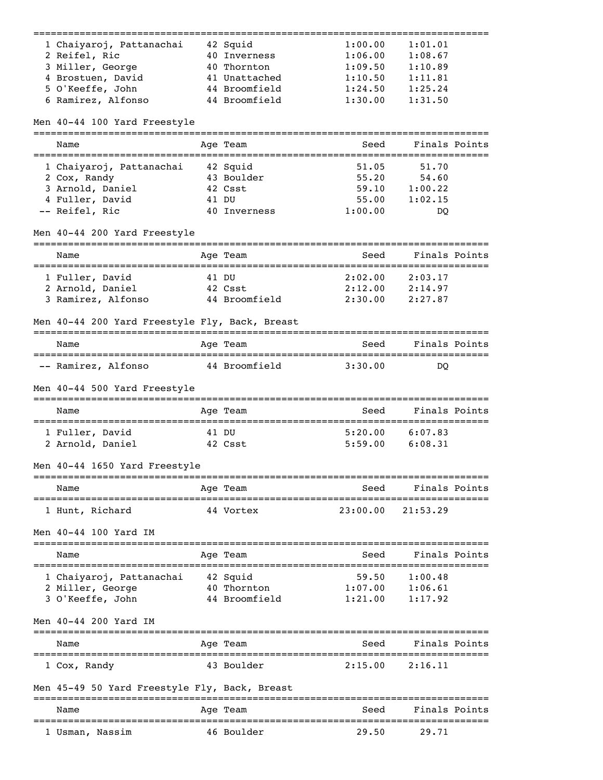| 1 Chaiyaroj, Pattanachai                       |       | 42 Squid                     | 1:00.00              | 1:01.01                  |               |
|------------------------------------------------|-------|------------------------------|----------------------|--------------------------|---------------|
| 2 Reifel, Ric                                  |       | 40 Inverness                 | 1:06.00              | 1:08.67                  |               |
| 3 Miller, George                               |       | 40 Thornton                  | 1:09.50              | 1:10.89                  |               |
| 4 Brostuen, David                              |       | 41 Unattached                | 1:10.50              | 1:11.81                  |               |
| 5 O'Keeffe, John                               |       | 44 Broomfield                | 1:24.50              | 1:25.24                  |               |
| 6 Ramirez, Alfonso                             |       | 44 Broomfield                | 1:30.00              | 1:31.50                  |               |
| Men 40-44 100 Yard Freestyle                   |       |                              |                      |                          |               |
| Name                                           |       | Aqe Team                     | Seed                 |                          | Finals Points |
| 1 Chaiyaroj, Pattanachai                       |       | 42 Squid                     | 51.05                | 51.70                    |               |
| 2 Cox, Randy                                   |       | 43 Boulder                   | 55.20                | 54.60                    |               |
| 3 Arnold, Daniel                               |       | 42 Csst                      | 59.10                | 1:00.22                  |               |
| 4 Fuller, David                                |       | 41 DU                        | 55.00                | 1:02.15                  |               |
| -- Reifel, Ric                                 |       | 40 Inverness                 | 1:00.00              | DO                       |               |
| Men 40-44 200 Yard Freestyle                   |       |                              |                      |                          |               |
| Name                                           |       | Age Team                     | Seed                 | Finals Points            |               |
| :===================<br>1 Fuller, David        |       | ===============<br>41 DU     | 2:02.00              | 2:03.17                  |               |
| 2 Arnold, Daniel                               |       | 42 Csst                      | 2:12.00              | 2:14.97                  |               |
| 3 Ramirez, Alfonso                             |       | 44 Broomfield                | 2:30.00              | 2:27.87                  |               |
| Men 40-44 200 Yard Freestyle Fly, Back, Breast |       |                              |                      |                          |               |
| Name                                           |       | Age Team                     | Seed                 | Finals Points            |               |
| -- Ramirez, Alfonso                            |       | 44 Broomfield                | 3:30.00              | DO                       |               |
| Men 40-44 500 Yard Freestyle                   |       |                              |                      |                          |               |
| Name                                           |       | Age Team                     | Seed                 |                          | Finals Points |
| 1 Fuller, David                                | 41 DU |                              | 5:20.00              | 6:07.83                  |               |
| 2 Arnold, Daniel                               |       | 42 Csst                      | 5:59.00              | 6:08.31                  |               |
| Men 40-44 1650 Yard Freestyle                  |       |                              |                      |                          |               |
| Name                                           |       | Age Team                     | Seed                 | Finals Points            |               |
| 1 Hunt, Richard                                |       | 44 Vortex                    | 23:00.00             | 21:53.29                 |               |
|                                                |       |                              |                      |                          |               |
| Men 40-44 100 Yard IM                          |       |                              |                      |                          |               |
| Name                                           |       | Age Team                     | Seed                 | Finals Points            |               |
| 1 Chaiyaroj, Pattanachai                       |       | 42 Squid                     | 59.50                | 1:00.48                  |               |
| 2 Miller, George                               |       | 40 Thornton                  | 1:07.00              | 1:06.61                  |               |
| 3 O'Keeffe, John                               |       | 44 Broomfield                | 1:21.00              | 1:17.92                  |               |
| Men 40-44 200 Yard IM                          |       |                              |                      |                          |               |
| Name                                           |       | Age Team                     | Seed                 | Finals Points            |               |
| 1 Cox, Randy                                   |       | 43 Boulder                   | 2:15.00              | 2:16.11                  |               |
| Men 45-49 50 Yard Freestyle Fly, Back, Breast  |       |                              |                      |                          |               |
| Name                                           |       | Age Team                     | Seed                 | Finals Points            |               |
| 1 Usman, Nassim                                |       | ==============<br>46 Boulder | ===========<br>29.50 | ===============<br>29.71 |               |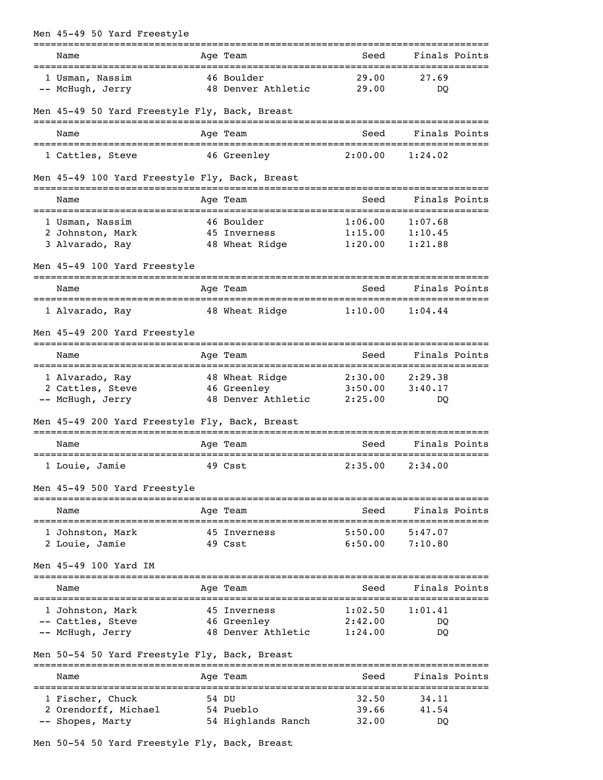| Men 45-49 50 Yard Freestyle                          |                                  |                     |               |  |
|------------------------------------------------------|----------------------------------|---------------------|---------------|--|
| Name                                                 | Age Team                         | ==========<br>Seed  | Finals Points |  |
| 1 Usman, Nassim<br>-- McHugh, Jerry                  | 46 Boulder<br>48 Denver Athletic | 29.00<br>29.00      | 27.69<br>DO   |  |
| Men 45-49 50 Yard Freestyle Fly, Back, Breast        |                                  |                     |               |  |
| Name                                                 | Age Team                         | Seed                | Finals Points |  |
| 1 Cattles, Steve                                     | 46 Greenley                      | 2:00.00             | 1:24.02       |  |
| Men 45-49 100 Yard Freestyle Fly, Back, Breast       |                                  |                     |               |  |
| Name                                                 | Age Team                         | Seed                | Finals Points |  |
| 1 Usman, Nassim                                      | 46 Boulder                       | 1:06.00             | 1:07.68       |  |
| 2 Johnston, Mark                                     | 45 Inverness                     | 1:15.00             | 1:10.45       |  |
| 3 Alvarado, Ray                                      | 48 Wheat Ridge                   | 1:20.00             | 1:21.88       |  |
| Men 45-49 100 Yard Freestyle                         |                                  |                     |               |  |
| Name                                                 | Age Team                         | Seed                | Finals Points |  |
| 1 Alvarado, Ray                                      | 48 Wheat Ridge                   | 1:10.00             | 1:04.44       |  |
| Men 45-49 200 Yard Freestyle                         |                                  |                     |               |  |
| Name                                                 | Age Team                         | Seed                | Finals Points |  |
| 1 Alvarado, Ray                                      | 48 Wheat Ridge                   | 2:30.00             | 2:29.38       |  |
| 2 Cattles, Steve                                     | 46 Greenley                      | 3:50.00             | 3:40.17       |  |
| -- McHugh, Jerry                                     | 48 Denver Athletic 2:25.00       |                     | DQ            |  |
| Men 45-49 200 Yard Freestyle Fly, Back, Breast       |                                  |                     |               |  |
| Name                                                 | Age Team                         | Seed                | Finals Points |  |
| ==================================<br>1 Louie, Jamie | 49 Csst                          | $2:35.00$ $2:34.00$ |               |  |
| Men 45-49 500 Yard Freestyle                         |                                  |                     |               |  |
| Name                                                 | Age Team                         | Seed                | Finals Points |  |
| 1 Johnston, Mark                                     | 45 Inverness                     | 5:50.00             | 5:47.07       |  |
| 2 Louie, Jamie                                       | 49 Csst                          | 6:50.00             | 7:10.80       |  |
| Men 45-49 100 Yard IM                                |                                  |                     |               |  |
| Name                                                 | Age Team                         | Seed                | Finals Points |  |
| 1 Johnston, Mark                                     | 45 Inverness                     | 1:02.50             | 1:01.41       |  |
| -- Cattles, Steve                                    | 46 Greenley                      | 2:42.00             | DQ            |  |
| -- McHugh, Jerry                                     | 48 Denver Athletic               | 1:24.00             | DQ            |  |
| Men 50-54 50 Yard Freestyle Fly, Back, Breast        |                                  |                     |               |  |
| Name                                                 | Age Team                         | Seed                | Finals Points |  |
| 1 Fischer, Chuck                                     | 54 DU                            | 32.50               | 34.11         |  |
| 2 Orendorff, Michael                                 | 54 Pueblo                        | 39.66               | 41.54         |  |
| -- Shopes, Marty                                     | 54 Highlands Ranch               | 32.00               | DO            |  |

Men 50-54 50 Yard Freestyle Fly, Back, Breast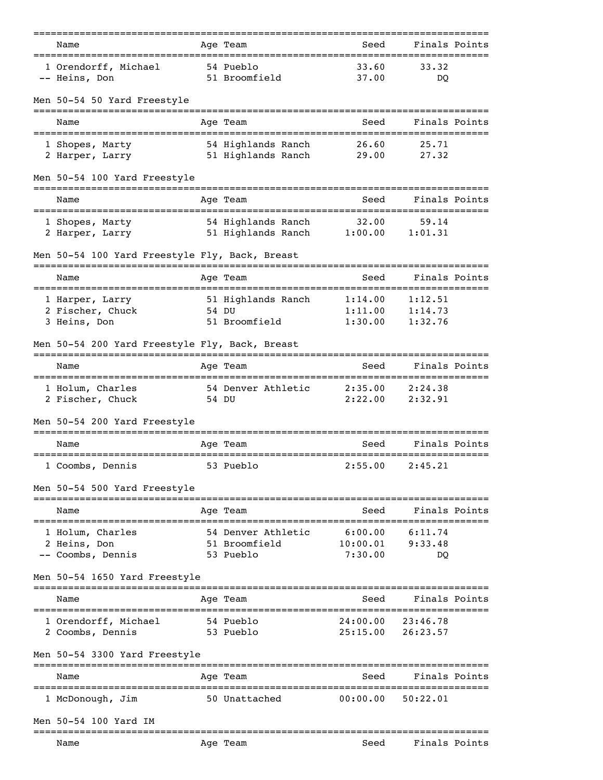| Name<br>====================================== |       | Age Team                   | Seed                                         | Finals Points              |  |
|------------------------------------------------|-------|----------------------------|----------------------------------------------|----------------------------|--|
| 1 Orendorff, Michael<br>-- Heins, Don          |       | 54 Pueblo<br>51 Broomfield | 33.60<br>37.00                               | 33.32<br><sub>DO</sub>     |  |
| Men 50-54 50 Yard Freestyle                    |       |                            |                                              |                            |  |
| Name                                           |       | Age Team                   | Seed                                         | Finals Points              |  |
| 1 Shopes, Marty                                |       | 54 Highlands Ranch         | 26.60                                        | 25.71                      |  |
| 2 Harper, Larry                                |       | 51 Highlands Ranch 29.00   |                                              | 27.32                      |  |
| Men 50-54 100 Yard Freestyle                   |       |                            | :=============                               |                            |  |
| Name<br>;================================      |       | Age Team                   | Seed                                         | Finals Points<br>--------- |  |
| 1 Shopes, Marty                                |       | 54 Highlands Ranch         | 32.00                                        | 59.14                      |  |
| 2 Harper, Larry                                |       | 51 Highlands Ranch         | 1:00.00                                      | 1:01.31                    |  |
| Men 50-54 100 Yard Freestyle Fly, Back, Breast |       |                            |                                              |                            |  |
| Name                                           |       | Age Team                   | Seed                                         | Finals Points              |  |
| 1 Harper, Larry                                |       | 51 Highlands Ranch         | 1:14.00                                      | 1:12.51                    |  |
| 2 Fischer, Chuck<br>3 Heins, Don               |       | 54 DU<br>51 Broomfield     | 1:11.00<br>1:30.00                           | 1:14.73<br>1:32.76         |  |
| Men 50-54 200 Yard Freestyle Fly, Back, Breast |       |                            |                                              |                            |  |
| Name                                           |       | Age Team                   | Seed                                         | Finals Points              |  |
| 1 Holum, Charles                               |       | 54 Denver Athletic         | 2:35.00                                      | 2:24.38                    |  |
| 2 Fischer, Chuck                               | 54 DU |                            | 2:22.00                                      | 2:32.91                    |  |
| Men 50-54 200 Yard Freestyle                   |       |                            |                                              |                            |  |
| Name<br>=====================================  |       | Age Team                   | Seed<br>:==========================          | Finals Points              |  |
| 1 Coombs, Dennis                               |       | 53 Pueblo                  | 2:55.00                                      | 2:45.21                    |  |
| Men 50-54 500 Yard Freestyle                   |       |                            |                                              |                            |  |
| Name                                           |       | Age Team                   | Seed                                         | Finals Points              |  |
| 1 Holum, Charles                               |       | 54 Denver Athletic         | 6:00.00                                      | 6:11.74                    |  |
| 2 Heins, Don<br>-- Coombs, Dennis              |       | 51 Broomfield<br>53 Pueblo | 10:00.01<br>7:30.00                          | 9:33.48<br>DO              |  |
| Men 50-54 1650 Yard Freestyle                  |       |                            |                                              |                            |  |
| Name                                           |       | Aqe Team                   | Seed                                         | Finals Points              |  |
| 1 Orendorff, Michael                           |       | 54 Pueblo                  | 24:00.00                                     | 23:46.78                   |  |
| 2 Coombs, Dennis                               |       | 53 Pueblo                  | 25:15.00                                     | 26:23.57                   |  |
| Men 50-54 3300 Yard Freestyle                  |       |                            |                                              |                            |  |
| Name                                           |       | Age Team                   | Seed                                         | Finals Points              |  |
| 1 McDonough, Jim                               |       | 50 Unattached              | 00:00.00                                     | 50:22.01                   |  |
| Men 50-54 100 Yard IM                          |       |                            |                                              |                            |  |
| Name                                           |       | --------------<br>Age Team | ____________________________________<br>Seed | Finals Points              |  |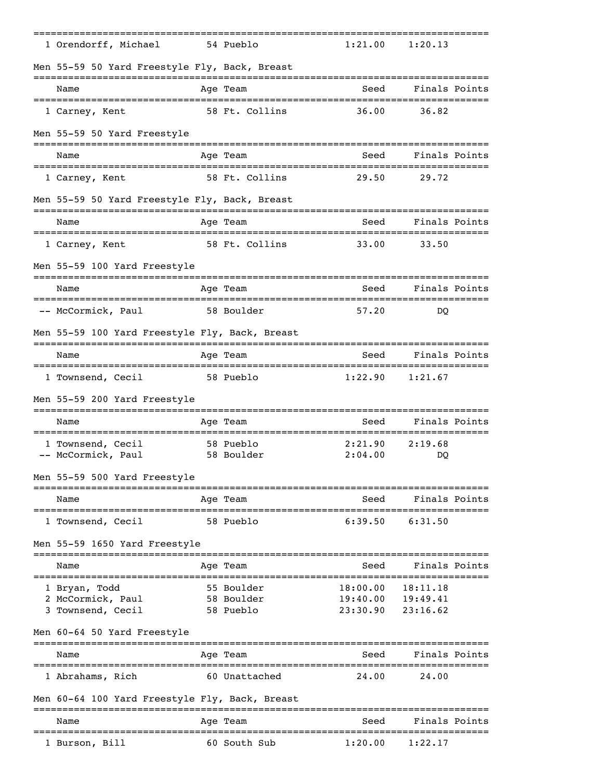| 1 Orendorff, Michael                           | 54 Pueblo               | 1:21.00                                   | 1:20.13              |  |
|------------------------------------------------|-------------------------|-------------------------------------------|----------------------|--|
| Men 55-59 50 Yard Freestyle Fly, Back, Breast  |                         |                                           |                      |  |
| Name                                           | Age Team                | Seed                                      | Finals Points        |  |
| 1 Carney, Kent                                 | 58 Ft. Collins          | 36.00                                     | 36.82                |  |
| Men 55-59 50 Yard Freestyle                    |                         |                                           |                      |  |
| Name                                           | Age Team                | Seed                                      | Finals Points        |  |
| 1 Carney, Kent                                 | 58 Ft. Collins          | 29.50                                     | 29.72                |  |
| Men 55-59 50 Yard Freestyle Fly, Back, Breast  | ---------               |                                           |                      |  |
| Name                                           | Age Team                | Seed                                      | Finals Points        |  |
| 1 Carney, Kent                                 | 58 Ft. Collins          | 33.00                                     | 33.50                |  |
| Men 55-59 100 Yard Freestyle                   |                         |                                           |                      |  |
| Name                                           | Age Team                | Seed                                      | Finals Points        |  |
| -- McCormick, Paul                             | 58 Boulder              | 57.20                                     | DO                   |  |
| Men 55-59 100 Yard Freestyle Fly, Back, Breast |                         |                                           |                      |  |
| Name                                           | Age Team                | Seed                                      | Finals Points        |  |
| 1 Townsend, Cecil                              | 58 Pueblo               | 1:22.90                                   | 1:21.67              |  |
| Men 55-59 200 Yard Freestyle                   |                         |                                           |                      |  |
| Name                                           | Age Team                | Seed                                      | Finals Points        |  |
| 1 Townsend, Cecil                              | 58 Pueblo               | 2:21.90                                   | 2:19.68              |  |
| -- McCormick, Paul                             | 58 Boulder              | 2:04.00                                   | DO                   |  |
| Men 55-59 500 Yard Freestyle                   |                         |                                           |                      |  |
| Name                                           | Age Team                | Seed                                      | Finals Points        |  |
| 1 Townsend, Cecil                              | 58 Pueblo               | 6:39.50                                   | 6:31.50              |  |
| Men 55-59 1650 Yard Freestyle                  |                         |                                           |                      |  |
| Name                                           | Age Team                | Seed                                      | Finals Points        |  |
| 1 Bryan, Todd                                  | 55 Boulder              | 18:00.00                                  | 18:11.18             |  |
| 2 McCormick, Paul<br>3 Townsend, Cecil         | 58 Boulder<br>58 Pueblo | 19:40.00<br>23:30.90                      | 19:49.41<br>23:16.62 |  |
| Men 60-64 50 Yard Freestyle                    |                         |                                           |                      |  |
| Name                                           |                         | =================================<br>Seed | Finals Points        |  |
|                                                | Age Team                |                                           |                      |  |
| 1 Abrahams, Rich                               | 60 Unattached           | 24.00                                     | 24.00                |  |
| Men 60-64 100 Yard Freestyle Fly, Back, Breast | ===========             |                                           |                      |  |
| Name                                           | Age Team                | Seed                                      | Finals Points        |  |
| 1 Burson, Bill                                 | 60 South Sub            | 1:20.00                                   | 1:22.17              |  |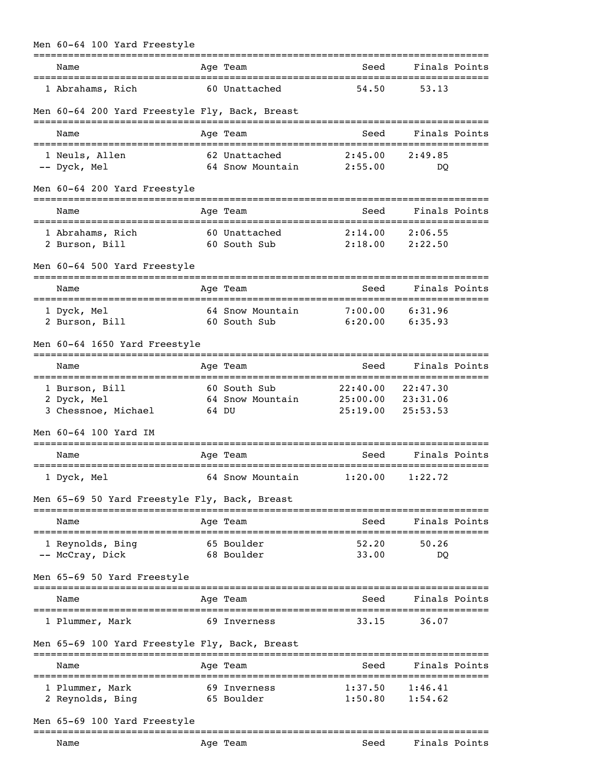| Men 60-64 100 Yard Freestyle                         |                                                    | ==============       |                                                |
|------------------------------------------------------|----------------------------------------------------|----------------------|------------------------------------------------|
| Name                                                 | Age Team                                           | Seed                 | Finals Points                                  |
| 1 Abrahams, Rich                                     | 60 Unattached                                      | 54.50                | 53.13                                          |
| Men 60-64 200 Yard Freestyle Fly, Back, Breast       |                                                    |                      |                                                |
| Name                                                 | Age Team                                           | Seed                 | Finals Points                                  |
| 1 Neuls, Allen<br>-- Dyck, Mel                       | 62 Unattached<br>64 Snow Mountain                  | 2:45.00<br>2:55.00   | 2:49.85<br>DO                                  |
| Men 60-64 200 Yard Freestyle                         |                                                    |                      |                                                |
| Name                                                 | Age Team                                           | Seed                 | Finals Points                                  |
| 1 Abrahams, Rich<br>2 Burson, Bill                   | 60 Unattached<br>60 South Sub                      | 2:14.00<br>2:18.00   | 2:06.55<br>2:22.50                             |
| Men 60-64 500 Yard Freestyle                         | --------                                           |                      |                                                |
| Name<br>===========================                  | Age Team<br>========================               | Seed                 | Finals Points<br>============================= |
| 1 Dyck, Mel<br>2 Burson, Bill                        | 64 Snow Mountain<br>60 South Sub                   | 7:00.00<br>6:20.00   | 6:31.96<br>6:35.93                             |
| Men 60-64 1650 Yard Freestyle                        |                                                    |                      |                                                |
| Name                                                 | Age Team                                           | Seed                 | Finals Points                                  |
| 1 Burson, Bill<br>2 Dyck, Mel<br>3 Chessnoe, Michael | 60 South Sub<br>64 Snow Mountain 25:00.00<br>64 DU | 22:40.00<br>25:19.00 | 22:47.30<br>23:31.06<br>25:53.53               |
| Men 60-64 100 Yard IM                                |                                                    |                      |                                                |
| Name                                                 | Age Team                                           | Seed                 | Finals Points                                  |
| 1 Dyck, Mel                                          | 64 Snow Mountain 1:20.00 1:22.72                   |                      |                                                |
| Men 65-69 50 Yard Freestyle Fly, Back, Breast        |                                                    |                      |                                                |
| Name                                                 | Age Team                                           | Seed                 | Finals Points                                  |
| 1 Reynolds, Bing<br>-- McCray, Dick                  | 65 Boulder<br>68 Boulder                           | 52.20<br>33.00       | 50.26<br>DO                                    |
| Men 65-69 50 Yard Freestyle                          |                                                    |                      |                                                |
| ------------------------------------<br>Name         | Age Team                                           | Seed                 | Finals Points                                  |
| 1 Plummer, Mark                                      | 69 Inverness                                       | 33.15                | 36.07                                          |
| Men 65-69 100 Yard Freestyle Fly, Back, Breast       |                                                    |                      |                                                |
| Name                                                 | Age Team                                           | Seed                 | Finals Points                                  |
| 1 Plummer, Mark<br>2 Reynolds, Bing                  | 69 Inverness<br>65 Boulder                         | 1:37.50<br>1:50.80   | 1:46.41<br>1:54.62                             |
| Men 65-69 100 Yard Freestyle                         |                                                    |                      |                                                |
|                                                      |                                                    |                      |                                                |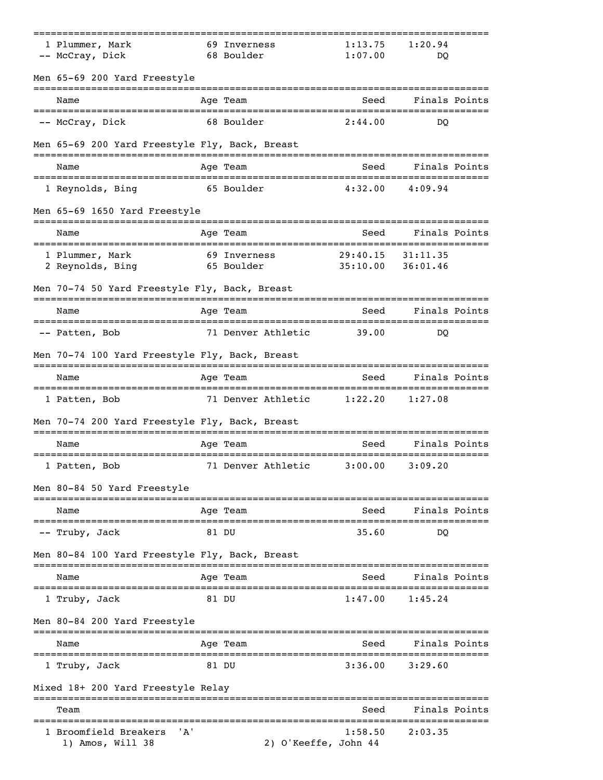| 1 Plummer, Mark<br>-- McCray, Dick                                                 | 69 Inverness<br>68 Boulder |                      | 1:13.75<br>1:07.00   | 1:20.94<br>DO                   |  |
|------------------------------------------------------------------------------------|----------------------------|----------------------|----------------------|---------------------------------|--|
| Men 65-69 200 Yard Freestyle                                                       |                            |                      |                      |                                 |  |
| Name                                                                               | Age Team                   |                      | Seed                 | Finals Points                   |  |
| -- McCray, Dick                                                                    | 68 Boulder                 |                      | 2:44.00              | DO                              |  |
| Men 65-69 200 Yard Freestyle Fly, Back, Breast                                     |                            |                      |                      |                                 |  |
| Name                                                                               | Age Team                   |                      | Seed                 | Finals Points                   |  |
| 1 Reynolds, Bing                                                                   | 65 Boulder                 |                      | 4:32.00              | 4:09.94                         |  |
| Men 65-69 1650 Yard Freestyle                                                      |                            |                      |                      |                                 |  |
| Name                                                                               | ==========<br>Age Team     |                      | Seed                 | Finals Points                   |  |
| 1 Plummer, Mark<br>2 Reynolds, Bing                                                | 69 Inverness<br>65 Boulder |                      | 29:40.15<br>35:10.00 | 31:11.35<br>36:01.46            |  |
| Men 70-74 50 Yard Freestyle Fly, Back, Breast                                      |                            |                      |                      |                                 |  |
| Name                                                                               | Age Team                   |                      | Seed                 | Finals Points                   |  |
| -- Patten, Bob                                                                     | 71 Denver Athletic         |                      | 39.00                | DO                              |  |
| Men 70-74 100 Yard Freestyle Fly, Back, Breast                                     |                            |                      |                      |                                 |  |
| Name                                                                               | Age Team                   |                      | Seed                 | Finals Points                   |  |
| 1 Patten, Bob                                                                      | 71 Denver Athletic         |                      | 1:22.20              | 1:27.08                         |  |
| Men 70-74 200 Yard Freestyle Fly, Back, Breast<br>================================ |                            | ===============      |                      |                                 |  |
| Name                                                                               | Age Team                   |                      | Seed                 | Finals Points                   |  |
| 1 Patten, Bob                                                                      | 71 Denver Athletic         |                      | 3:00.00              | 3:09.20                         |  |
| Men 80-84 50 Yard Freestyle                                                        |                            |                      |                      |                                 |  |
| Name                                                                               | Age Team                   |                      | Seed                 | Finals Points<br>============== |  |
| -- Truby, Jack                                                                     | 81 DU                      |                      | 35.60                | DQ                              |  |
| Men 80-84 100 Yard Freestyle Fly, Back, Breast                                     |                            |                      |                      |                                 |  |
| Name                                                                               | Age Team                   |                      | Seed                 | Finals Points                   |  |
| 1 Truby, Jack                                                                      | 81 DU                      |                      | 1:47.00              | 1:45.24                         |  |
| Men 80-84 200 Yard Freestyle                                                       |                            |                      |                      |                                 |  |
| Name                                                                               | Age Team                   |                      | Seed                 | Finals Points                   |  |
| 1 Truby, Jack                                                                      | 81 DU                      |                      | 3:36.00              | 3:29.60                         |  |
| Mixed 18+ 200 Yard Freestyle Relay                                                 |                            |                      |                      |                                 |  |
| Team                                                                               |                            |                      | Seed                 | Finals Points                   |  |
| 'A'<br>1 Broomfield Breakers<br>1) Amos, Will 38                                   |                            | 2) O'Keeffe, John 44 | 1:58.50              | 2:03.35                         |  |